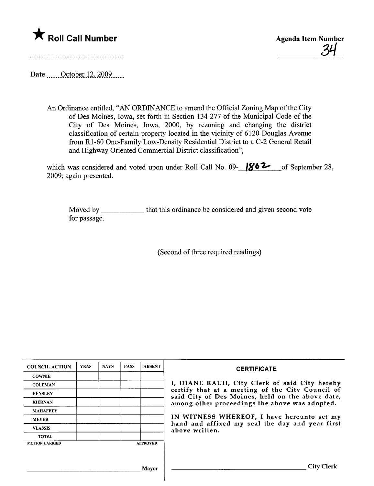



Date **October 12, 2009** 

An Ordinance entitled, "AN ORDINANCE to amend the Official Zoning Map of the City of Des Moines, Iowa, set forth in Section 134-277 of the Municipal Code of the City of Des Moines, Iowa, 2000, by rezoning and changing the district classification of certain property located in the vicinity of 6120 Douglas Avenue from Rl-60 One-Family Low-Density Residential District to a C-2 General Retail and Highway Oriented Commercial District classification",

which was considered and voted upon under Roll Call No. 09- $\frac{1862}{100}$  of September 28, 2009; again presented.

Moved by \_\_\_\_\_\_\_\_\_\_\_\_ that this ordinance be considered and given second vote for passage.

(Second of three required readings)

| <b>COUNCIL ACTION</b> | <b>YEAS</b> | <b>NAYS</b> | <b>PASS</b> | <b>ABSENT</b>   | <b>CERTIFICATE</b>                                                                                   |
|-----------------------|-------------|-------------|-------------|-----------------|------------------------------------------------------------------------------------------------------|
| <b>COWNIE</b>         |             |             |             |                 |                                                                                                      |
| <b>COLEMAN</b>        |             |             |             |                 | I, DIANE RAUH, City Clerk of said City hereby                                                        |
| <b>HENSLEY</b>        |             |             |             |                 | certify that at a meeting of the City Council of<br>said City of Des Moines, held on the above date, |
| <b>KIERNAN</b>        |             |             |             |                 | among other proceedings the above was adopted.                                                       |
| <b>MAHAFFEY</b>       |             |             |             |                 |                                                                                                      |
| <b>MEYER</b>          |             |             |             |                 | IN WITNESS WHEREOF, I have hereunto set my                                                           |
| <b>VLASSIS</b>        |             |             |             |                 | hand and affixed my seal the day and year first<br>above written.                                    |
| <b>TOTAL</b>          |             |             |             |                 |                                                                                                      |
| <b>MOTION CARRIED</b> |             |             |             | <b>APPROVED</b> |                                                                                                      |
|                       |             |             |             |                 |                                                                                                      |
|                       |             |             |             |                 |                                                                                                      |
|                       |             |             |             | Mayor           | <b>City Clerk</b>                                                                                    |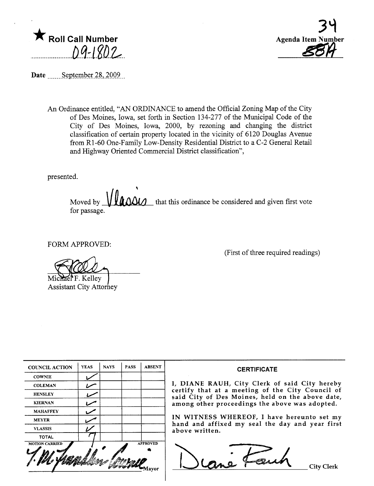$\bigstar$  Roll Call Number  $0.9 - 1802$ 



Date ......September 28, 2009

An Ordinance entitled, "AN ORDINANCE to amend the Official Zoning Map of the City of Des Moines, Iowa, set forth in Section 134-277 of the Municipal Code of the City of Des Moines, Iowa, 2000, by rezonig and changing the district classification of certain property located in the vicinty of 6120 Douglas Avenue from R1-60 One-Family Low-Density Residential District to a C-2 General Retail and Highway Oriented Commercial District classification",

presented.

, Moved by  $\mathcal{U}\mathcal{U}\Omega\mathcal{U}$  that this ordinance be considered and given first vote for passage.

FORM APPROVED:

Michael F. Kelley<br>Assistant City Attorney

(First of three required readings)

| <b>COUNCIL ACTION</b> | <b>YEAS</b> | <b>NAYS</b> | <b>PASS</b> | <b>ABSENT</b>            |                                    |
|-----------------------|-------------|-------------|-------------|--------------------------|------------------------------------|
| <b>COWNIE</b>         |             |             |             |                          |                                    |
| <b>COLEMAN</b>        |             |             |             |                          | I, DIANE RAU                       |
| <b>HENSLEY</b>        |             |             |             |                          | certify that at<br>said City of De |
| <b>KIERNAN</b>        |             |             |             |                          | among other pr                     |
| <b>MAHAFFEY</b>       |             |             |             |                          |                                    |
| <b>MEYER</b>          |             |             |             |                          | IN WITNESS V                       |
| <b>VLASSIS</b>        |             |             |             |                          | hand and affix<br>above written.   |
| <b>TOTAL</b>          |             |             |             |                          |                                    |
| <b>MOTION CARRIED</b> |             |             |             | <b>APPROVED</b><br>lavor |                                    |

#### **CERTIFICATE**

H, City Clerk of said City hereby a meeting of the City Council of es Moines, held on the above date, oceedings the above was adopted.

VHEREOF, I have hereunto set my ed my seal the day and year first

OVED DEME Fauch City Clerk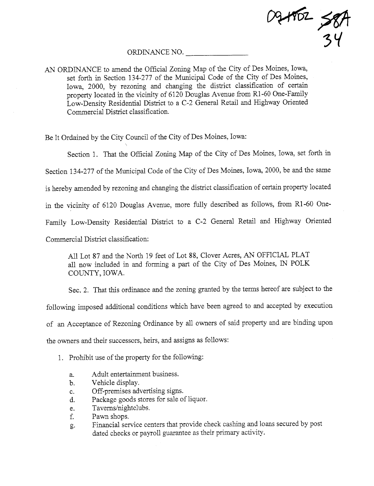09+902 SPA 3l(

### ORDINANCE NO.

AN ORDINANCE to amend the Official Zoning Map of the City of Des Moines, Iowa, set forth in Section 134-277 of the Municipal Code of the City of Des Moines, Iowa, 2000, by rezoning and changing the district classification of certain property located in the vicinity of 6120 Douglas Avenue from R1-60 One-Family Low-Density Residential District to a C-2 General Retail and Highway Oriented Commercial District classification.

Be It Ordaied by the City Council of the City of Des Moines, Iowa:

Section 1. That the Official Zoning Map of the City of Des Moines, Iowa, set forth in Section 134-277 of the Muncipal Code of the City of Des Moines, Iowa, 2000, be and the same is hereby amended by rezoning and changing the district classification of certain property located in the vicinty of 6120 Douglas Avenue, more fuly described as follows, from Rl-60 One-Family Low-Density Residential District to a C-2 General Retail and Highway Oriented Commercial District classification:

All Lot 87 and the North 19 feet of Lot 88, Clover Acres, AN OFFICIAL PLAT all now included in and forming a part of the City of Des Moines, IN POLK COUNTY, IOWA.

Sec. 2. That this ordinance and the zoning granted by the terms hereof are subject to the following imposed additional conditions which have been agreed to and accepted by execution of an Acceptance of Rezoning Ordinance by all owners of said property and are binding upon the owners and their successors, heirs, and assigns as follows:

1. Prohibit use of the property for the following:

- a. Adult entertainment business.
- b. Vehicle display.
- c. Off-premises advertising signs.
- d. Package goods stores for sale of liquor.
- e. Taverns/nightclubs.
- f. Pawn shops.
- g. Financial service centers that provide check cashing and loans secured by post dated checks or payroll guarantee as their primary activity.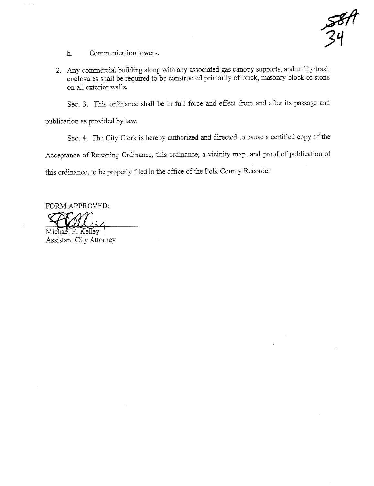$34$ 

h. Communication towers.

2. Any commercial building along with any associated gas canopy supports, and utility/trash enclosures shall be required to be constructed primarily of brick, masonry block or stone on all exterior walls.

Sec. 3. This ordinance shall be in full force and effect from and after its passage and

publication as provided by law.

 $\omega_{\rm{max}}$  .

Sec. 4. The City Clerk is hereby authorized and directed to cause a certified copy of the

Acceptance of Rezoning Ordinance, this ordinance, a vicinity map, and proof of publication of

this ordinance, to be properly filed in the office of the Polk County Recorder.

FORM APPROVED: ORM APPRO

Michael F. Kelley Assistant City Attorney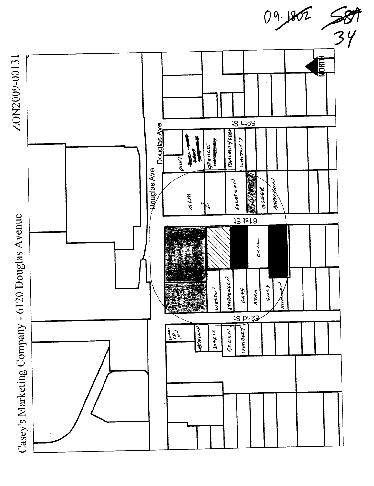

 $\frac{68}{34}$ 

09.1802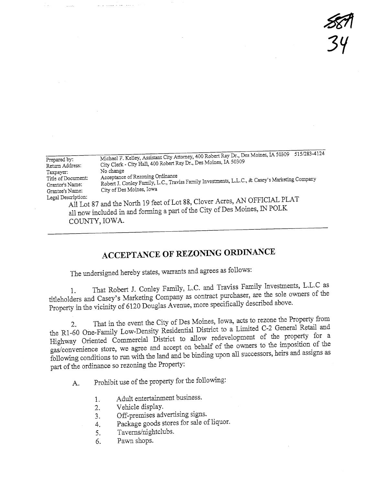$$\mathscr{B}$$ 34

|                    | 515/283-4124                                                                                                                                             |
|--------------------|----------------------------------------------------------------------------------------------------------------------------------------------------------|
| Prepared by:       | Michael F. Kelley, Assistant City Attorney, 400 Robert Ray Dr., Des Moines, IA 50309<br>City Clerk - City Hall, 400 Robert Ray Dr., Des Moines, IA 50309 |
| Return Address:    |                                                                                                                                                          |
| Taxpayer:          | No change                                                                                                                                                |
| Title of Document: | Acceptance of Rezoning Ordinance                                                                                                                         |
| Grantor's Name:    | Robert J. Conley Family, L.C., Traviss Family Investments, L.L.C., & Casey's Marketing Company                                                           |
|                    | City of Des Moines, Iowa                                                                                                                                 |
| Grantee's Name:    |                                                                                                                                                          |
| Legal Description: |                                                                                                                                                          |
|                    | All Lot 87 and the North 19 feet of Lot 88, Clover Acres, AN OFFICIAL PLAT                                                                               |
|                    |                                                                                                                                                          |

all now included in and forming a part of the City of Des Moines, IN POLK COUNTY, IOWA.

# ACCEPTANCE OF REZONING ORDINANCE

The undersigned hereby states, warrants and agrees as follows:

1. That RObert J. Comey Family, L.C. and Travission one the sole owners of the titleholders and Casey's Marketing Company as contract purchaser, are the sole owners Property in the vicinity of 6120 Douglas Avenue, more specifically described above.

2. That in the event the City of Des Moines, I would be a General Retail and the R1-60 One-Family Low-Density Residential District to a Limited  $C_2$  General  $\sim$ Highway Oriented Commercial District to allow redevelopments to the imposition of the gas/convenience store, we agree and accept on behalf of the owners to the imposition of the same of the imposition of the imposition of the imposition of the imposition of the imposition of the imposition of the imposition following conditions to run with the land and be binding upon all successors, heirs and assigns as part of the ordinance so rezoning the Property:

A. Prohibit use of the property for the following:

- 1. Adult entertainment business.
- 2. Vehicle display.
- 3. Off-premises advertising signs.
- 4. Package goods stores for sale of liquor.
- 5. Taverns/nightclubs.
- 6. Pawn shops.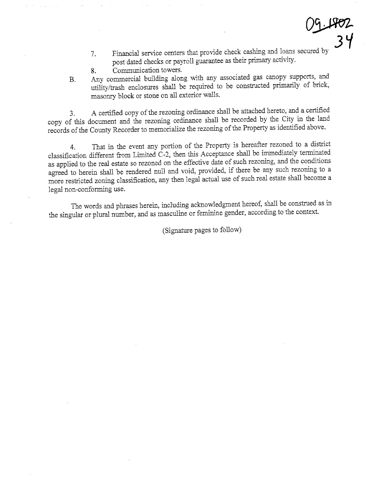- 09-1802
- Financial service centers that provide check cashing and loans secured by post dated checks or payroll guarantee as their primary activity. 7.
- 8. Communication towers.
- B. Any commercial building along with any associated gas canopy supports, and utility/trash enclosures shall be required to be constructed primarily of brick, masonry block or stone on all exterior walls.

3. A certified copy of the rezoning ordinance shall be attached hereto, and a certified copy of ths document and the rezonig ordinance shall be recorded by the City in the land records of the County Recorder to memorialize the rezoning of the Property as identified above.

4. That in the event any portion of the Property is hereafter rezoned to a district classification different from Limited C-2, then this Acceptance shall be immediately terminated as applied to the real estate so rezoned on the effective date of such rezoning, and the conditions agreed to herein shall be rendered null and void, provided, if there be any such rezoning to a more restricted zoning classification, any then legal actual use of such real estate shall become a legal non-conforming use.

The words and phrases herein, including acknowledgment hereof, shall be constred as in the singular or plural number, and as masculine or feminine gender, according to the context.

(Signatue pages to follow)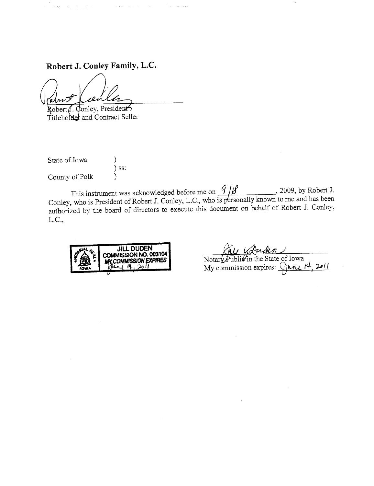Robert J. Conley Family, L.C.

Report Follows

 $\mathcal{L}_{\text{max}}$  and  $\mathcal{L}_{\text{max}}$  and  $\mathcal{L}_{\text{max}}$  and  $\mathcal{L}_{\text{max}}$ 

Conley, President Robert *I*. Titleholder and Contract Seller

State of Iowa )<br>) ss: County of Polk Υ

This instrument was acknowledged before me on  $\frac{q}{\mu}$ , 2009, by Robert J.<br>Conley, who is President of Robert J. Conley, L.C., who is personally known to me and has been authorized by the board of directors to execute this document on behalf of Robert J. Conley, L.C.,



Notary Public in the State of Iowa<br>My commission expires: Cancel 14, 2011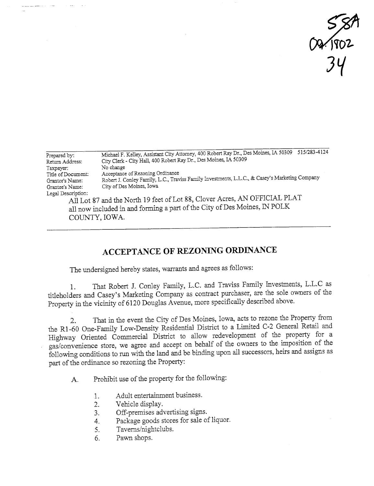$\gamma_{\rm UCL}$ 34

| Prepared by:<br>Return Address: | 515/283-4124<br>Michael F. Kelley, Assistant City Attorney, 400 Robert Ray Dr., Des Moines, IA 50309<br>City Clerk - City Hall, 400 Robert Ray Dr., Des Moines, IA 50309 |
|---------------------------------|--------------------------------------------------------------------------------------------------------------------------------------------------------------------------|
| Taxpayer:                       | No change                                                                                                                                                                |
| Title of Document:              | Acceptance of Rezoning Ordinance                                                                                                                                         |
| Grantor's Name:                 | Robert J. Conley Family, L.C., Traviss Family Investments, L.L.C., & Casey's Marketing Company                                                                           |
| Grantee's Name:                 | City of Des Moines, Iowa                                                                                                                                                 |
| Legal Description:              |                                                                                                                                                                          |
|                                 | All Lot 87 and the North 19 feet of Lot 88, Clover Acres, AN OFFICIAL PLAT                                                                                               |
|                                 | all now included in and forming a part of the City of Des Moines, IN POLK                                                                                                |

COUNTY, IOWA.

. . . **. . .** . . . . . . . . .

## ACCEPTANCE OF REZONING ORDINANCE

The undersigned hereby states, warants and agrees as follows:

1. That Robert J. Conley Famly, L.C. and Traviss Famly Investments, L.L.C as titleholders and Casey's Marketing Company as contract purchaser, are the sole owners of the Property in the vicinity of 6120 Douglas Avenue, more specifically described above.

2. That in the event the City of Des Moines, Iowa, acts to rezone the Property from the Rl-60 One-Famly Low-Density Residential District to a Limted C-2 General Retail and Highway Oriented Commercial District to allow redevelopment of the property for a gas/convenience store, we agree and accept on behalf of the owners to the imposition of the following conditions to run with the land and be binding upon all successors, heirs and assigns as part of the ordinance so rezoning the Property:

A. Prohibit use of the property for the following:

- 1. Adult entertainment business.
- 2. Vehicle display.
- 3. Off-premises advertising signs.
- 4. Package goods stores for sale of liquor.
- 5. Taverns/nightclubs.
- 6. Pawn shops.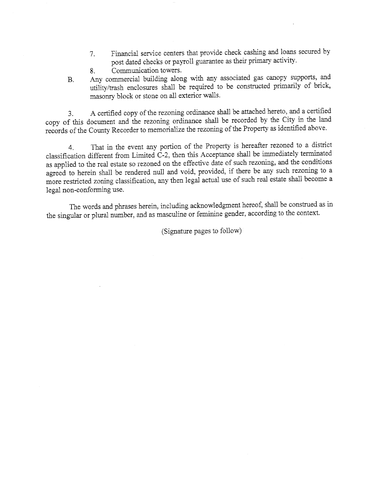- 7. Financial service centers that provide check cashing and loans secured by post dated checks or payroll guarantee as their primary activity.
- 8. Communication towers.
- B. Any commercial building along with any associated gas canopy supports, and utility/trash enclosures shall be required to be constructed primarily of brick, masonry block or stone on all exterior walls.

3. A certified copy of the rezoning ordinance shall be attached hereto, and a certified copy of ths document and the rezonig ordinance shall be recorded by the City in the land records of the County Recorder to memorialize the rezoning of the Property as identified above.

4. That in the event any portion of the Property is hereafter rezoned to a district classification different from Limited  $\tilde{C}$ -2, then this Acceptance shall be immediately terminated as applied to the real estate so rezoned on the effective date of such rezonig, and the conditions agreed to herein shall be rendered null and void, provided, if there be any such rezonig to a more restricted zoning classification, any then legal actual use of such real estate shall become a legal non-conforming use.

The words and phrases herein, including acknowledgment hereof, shall be constred as in the singular or plural number, and as masculine or feminine gender, according to the context.

(Signatue pages to follow)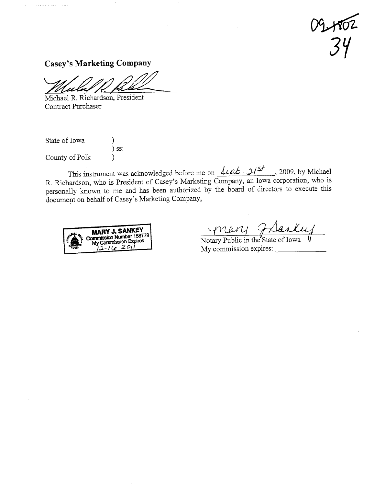$09402$ <br>34

**Casey's Marketing Company** 

Michael R. Richardson, President Contract Purchaser

State of Iowa ℩  $)$  ss: County of Polk  $\mathcal{E}$ 

. . . . . . . . . . . .

This instrument was acknowledged before me on  $\frac{\text{det}\mathcal{L}\cdot\mathcal{H}^{\leq t}}{2009}$ , by Michael R. Richardson, who is President of Casey's Marketing Company, an Iowa corporation, who is personally known to me and has been authorized by the board of directors to execute this document on behalf of Casey's Marketing Company,



mary grantey

Notary Public in the State of Iowa My commission expires: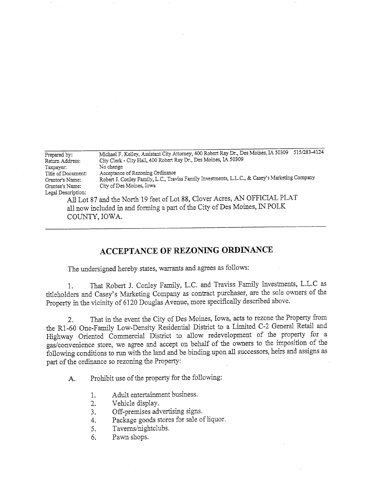| Prepared by:       | 515/283-4124<br>Michael F. Kelley, Assistant City Attorney, 400 Robert Ray Dr., Des Moines, IA 50309 |
|--------------------|------------------------------------------------------------------------------------------------------|
| Return Address:    | City Clerk - City Hall, 400 Robert Ray Dr., Des Moines, IA 50309                                     |
| Taxpayer:          | No change                                                                                            |
| Title of Document: | Acceptance of Rezoning Ordinance                                                                     |
| Grantor's Name:    | Robert J. Conley Family, L.C., Traviss Family Investments, L.L.C., & Casey's Marketing Company       |
| Grantee's Name:    | City of Des Moines, Iowa                                                                             |
| Legal Description: |                                                                                                      |
|                    | All Lot 87 and the North 19 feet of Lot 88, Clover Acres, AN OFFICIAL PLAT                           |
|                    | <u>is in the set of the contract of <math>\mathbb{R}^n</math> is <math>\mathbb{R}^n</math>.</u>      |

all now included in and forming a part of the City of Des Moines, IN POLK COUNY, IOWA.

## ACCEPTANCE OF REZONIG ORDINANCE

The undersigned hereby states, warrants and agrees as follows:

1. That Robert J. Conley Family, L.C. and Traviss Family Investments, L.L.C as titleholders and Casey's Marketing Company as contract purchaser, are the sole owners of the Property in the vicinity of 6120 Douglas Avenue, more specifically described above.

2. That in the event the City of Des Moines, Iowa, acts to rezone the Property from the R1-60 One-Family Low-Density Residential District to a Limited C-2 General Retail and Highway Oriented Commercial District to allow redevelopment of the property for a gas/convenience store, we agree and accept on behalf of the owners to the imposition of the following conditions to run with the land and be binding upon all successors, heirs and assigns as part of the ordinance so rezoning the Property:

A. Prohibit use of the property for the following:

- 1. Adult entertainment business.
- 2. Vehicle display.
- 3. Off-premises advertsing signs.
- 4. Package goods stores for sale of liquor.
- 5. Taverns/nightclubs.
- 6. Pawn shops.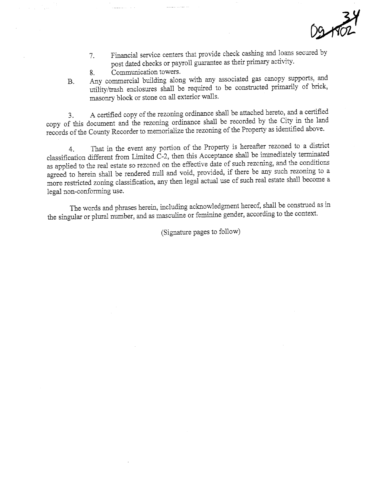

- 7. Financial service centers that provide check cashing and loans secured by post dated checks or payroll guarantee as their primary activity.
- 8. Communcation towers.
- B. Any commercial buiding along with any associated gas canopy supports, and utility/trash enclosures shall be required to be constructed primarily of brick, masonry block or stone on all exterior walls.

3. A certified copy of the rezoning ordinance shall be attached hereto, and a certified copy of this document and the rezoning ordinance shall be recorded by the City in the land records of the County Recorder to memorialize the rezoning of the Property as identified above.

4. That in the event any portion of the Property is hereafter rezoned to a district classification different from Limited C-2, then this Acceptance shall be immediately terminated as applied to the real estate so rezoned on the effective date of such rezoning, and the conditions agreed to herein shall be rendered null and void, provided, if there be any such rezoning to a agreed to herein shall be rendered null and void, provided, if there be any such resonance and account more restricted zoning classification, any then legal actual use of such real estate shall become a legal non-conforming use.

The words and phrases herein, including acknowledgment hereof, shall be construed as in the singular or plural number, and as masculine or feminine gender, according to the context.

(Signatue pages to follow)